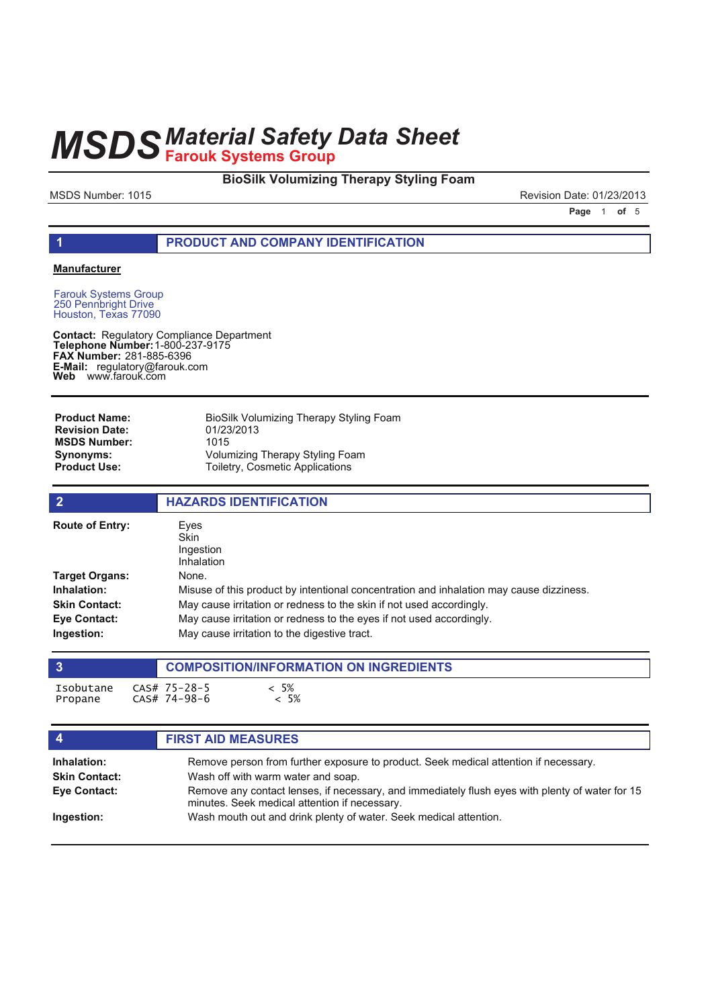### **BioSilk Volumizing Therapy Styling Foam**

MSDS Number: 1015 Revision Date: 01/23/2013

**Page 1 of 5** 

#### **1 PRODUCT AND COMPANY IDENTIFICATION**

#### **Manufacturer**

Farouk Systems Group 250 Pennbright Drive Houston, Texas 77090

**Contact: Telephone Number: FAX Number: E-Mail: Web** Regulatory Compliance Department 1-800-237-9175 281-885-6396 regulatory@farouk.com www.farouk.com

| <b>Product Name:</b>  | BioSilk Volumizing Therapy Styling Foam |
|-----------------------|-----------------------------------------|
| <b>Revision Date:</b> | 01/23/2013                              |
| <b>MSDS Number:</b>   | 1015                                    |
| Synonyms:             | Volumizing Therapy Styling Foam         |
| <b>Product Use:</b>   | <b>Toiletry, Cosmetic Applications</b>  |

| $\overline{2}$         | <b>HAZARDS IDENTIFICATION</b>                                                           |
|------------------------|-----------------------------------------------------------------------------------------|
| <b>Route of Entry:</b> | Eves<br><b>Skin</b><br>Ingestion<br>Inhalation                                          |
| <b>Target Organs:</b>  | None.                                                                                   |
| Inhalation:            | Misuse of this product by intentional concentration and inhalation may cause dizziness. |
| <b>Skin Contact:</b>   | May cause irritation or redness to the skin if not used accordingly.                    |
| <b>Eve Contact:</b>    | May cause irritation or redness to the eyes if not used accordingly.                    |
| Ingestion:             | May cause irritation to the digestive tract.                                            |

|                      | <b>COMPOSITION/INFORMATION ON INGREDIENTS</b> |                  |  |  |  |
|----------------------|-----------------------------------------------|------------------|--|--|--|
| Isobutane<br>Propane | CAS# 75-28-5<br>CAS# 74-98-6                  | 5%<br>$\cdot$ 5% |  |  |  |

| $\overline{4}$       | <b>FIRST AID MEASURES</b>                                                                                                                        |
|----------------------|--------------------------------------------------------------------------------------------------------------------------------------------------|
| Inhalation:          | Remove person from further exposure to product. Seek medical attention if necessary.                                                             |
| <b>Skin Contact:</b> | Wash off with warm water and soap.                                                                                                               |
| Eye Contact:         | Remove any contact lenses, if necessary, and immediately flush eyes with plenty of water for 15<br>minutes. Seek medical attention if necessary. |
| Ingestion:           | Wash mouth out and drink plenty of water. Seek medical attention.                                                                                |
|                      |                                                                                                                                                  |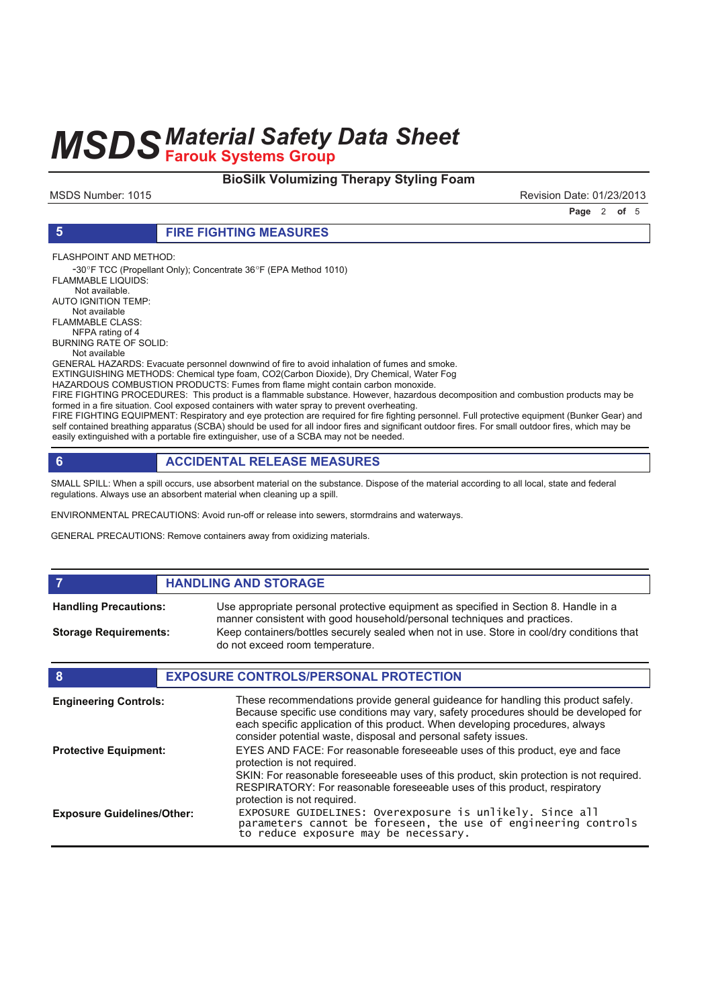### **BioSilk Volumizing Therapy Styling Foam**

MSDS Number: 1015 Revision Date: 01/23/2013

**Page 2 of 5** 

#### **5 FIRE FIGHTING MEASURES**

FLASHPOINT AND METHOD:

-30°F TCC (Propellant Only); Concentrate 36°F (EPA Method 1010) FI AMMABLE LIQUIDS: Not available.

AUTO IGNITION TEMP: Not available

FLAMMABLE CLASS:

 NFPA rating of 4 BURNING RATE OF SOLID:

Not available

GENERAL HAZARDS: Evacuate personnel downwind of fire to avoid inhalation of fumes and smoke.

EXTINGUISHING METHODS: Chemical type foam, CO2(Carbon Dioxide), Dry Chemical, Water Fog

HAZARDOUS COMBUSTION PRODUCTS: Fumes from flame might contain carbon monoxide. FIRE FIGHTING PROCEDURES: This product is a flammable substance. However, hazardous decomposition and combustion products may be

formed in a fire situation. Cool exposed containers with water spray to prevent overheating. FIRE FIGHTING EQUIPMENT: Respiratory and eye protection are required for fire fighting personnel. Full protective equipment (Bunker Gear) and self contained breathing apparatus (SCBA) should be used for all indoor fires and significant outdoor fires. For small outdoor fires, which may be easily extinguished with a portable fire extinguisher, use of a SCBA may not be needed.

### **6 ACCIDENTAL RELEASE MEASURES**

SMALL SPILL: When a spill occurs, use absorbent material on the substance. Dispose of the material according to all local, state and federal regulations. Always use an absorbent material when cleaning up a spill.

ENVIRONMENTAL PRECAUTIONS: Avoid run-off or release into sewers, stormdrains and waterways.

GENERAL PRECAUTIONS: Remove containers away from oxidizing materials.

#### **FIGURE 12 IN STORAGE** Use appropriate personal protective equipment as specified in Section 8. Handle in a manner consistent with good household/personal techniques and practices. **Handling Precautions:** Keep containers/bottles securely sealed when not in use. Store in cool/dry conditions that do not exceed room temperature. **Storage Requirements: 8 EXPOSURE CONTROLS/PERSONAL PROTECTION** These recommendations provide general guideance for handling this product safely. Because specific use conditions may vary, safety procedures should be developed for each specific application of this product. When developing procedures, always **Engineering Controls:**

consider potential waste, disposal and personal safety issues. EYES AND FACE: For reasonable foreseeable uses of this product, eye and face protection is not required. SKIN: For reasonable foreseeable uses of this product, skin protection is not required. RESPIRATORY: For reasonable foreseeable uses of this product, respiratory protection is not required. **Protective Equipment:** EXPOSURE GUIDELINES: Overexposure is unlikely. Since all parameters cannot be foreseen, the use of engineering controls to reduce exposure may be necessary. **Exposure Guidelines/Other:**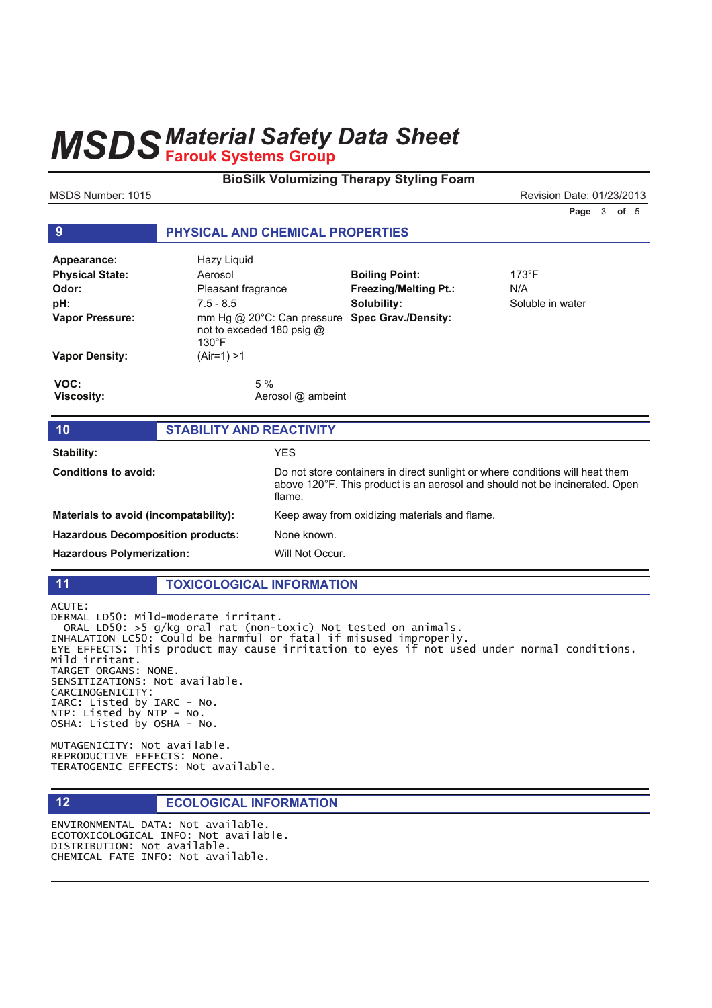## **MSDS Material Safety Data Sheet**

#### **BioSilk Volumizing Therapy Styling Foam**

MSDS Number: 1015

Revision Date: 01/23/2013

Page 3 of 5

#### $9$ PHYSICAL AND CHEMICAL PROPERTIES Appearance: **Hazy Liquid Physical State: Boiling Point:** 173°F Aerosol Odor: Pleasant fragrance **Freezing/Melting Pt.:**  $N/A$ pH:  $7.5 - 8.5$ Solubility: Soluble in water mm Hg @ 20°C: Can pressure Spec Grav./Density: **Vapor Pressure:** not to exceded 180 psig @  $130^{\circ}$ F **Vapor Density:**  $(Air=1) > 1$ VOC: 5 % **Viscosity:** Aerosol @ ambeint **STABILITY AND REACTIVITY**  $10$ Stability: **YES**

| <b>Conditions to avoid:</b>              | Do not store containers in direct sunlight or where conditions will heat them<br>above 120°F. This product is an aerosol and should not be incinerated. Open<br>flame. |
|------------------------------------------|------------------------------------------------------------------------------------------------------------------------------------------------------------------------|
| Materials to avoid (incompatability):    | Keep away from oxidizing materials and flame.                                                                                                                          |
| <b>Hazardous Decomposition products:</b> | None known.                                                                                                                                                            |
| <b>Hazardous Polymerization:</b>         | Will Not Occur.                                                                                                                                                        |

#### **TOXICOLOGICAL INFORMATION**

ACUTE:

 $11$ 

 $12$ 

DERMAL LD50: Mild-moderate irritant. ORAL LD50: "The "Sucritic Tritum".<br>INHALATION LC50: Say and rat (non-toxic) Not tested on animals.<br>INHALATION LC50: Could be harmful or fatal if misused improperly.<br>EYE EFFECTS: This product may cause irritation to eyes if Mild irritant. TARGET ORGANS: NONE. SENSITIZATIONS: Not available. CARCINOGENICITY: IARC: Listed by IARC - No. NTP: Listed by NTP - No. OSHA: Listed by OSHA - No.

MUTAGENICITY: Not available. REPRODUCTIVE EFFECTS: None. TERATOGENIC EFFECTS: Not available.

#### **ECOLOGICAL INFORMATION**

ENVIRONMENTAL DATA: Not available. ECOTOXICOLOGICAL INFO: Not available. DISTRIBUTION: Not available. CHEMICAL FATE INFO: Not available.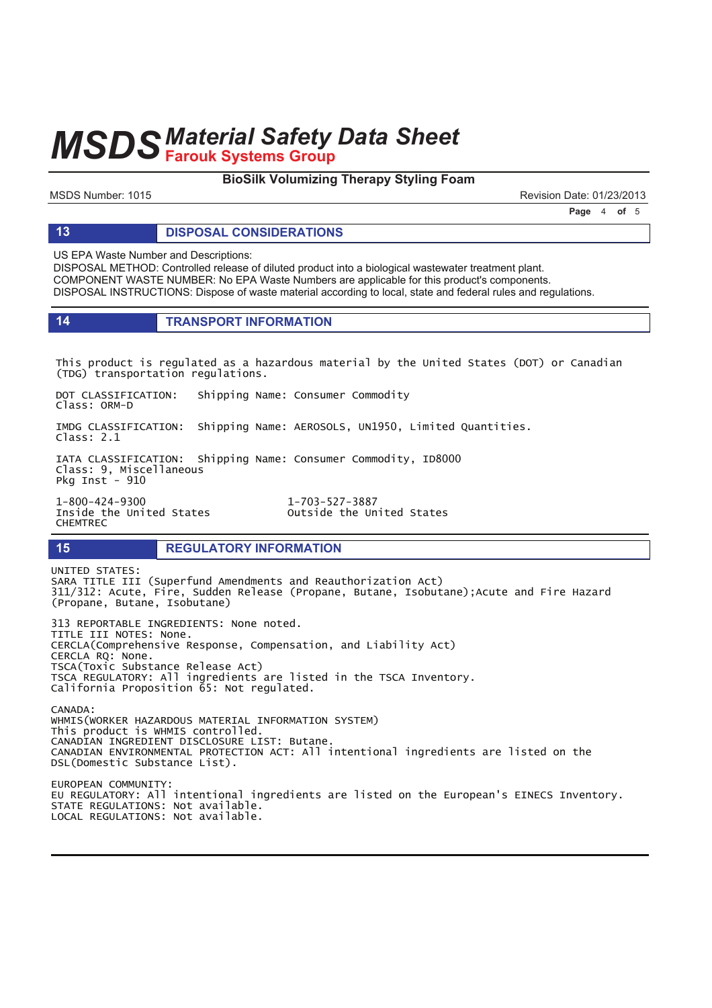#### **BioSilk Volumizing Therapy Styling Foam**

MSDS Number: 1015 Revision Date: 01/23/2013

**Page 4 of 5** 

#### **13 DISPOSAL CONSIDERATIONS**

US EPA Waste Number and Descriptions:

DISPOSAL METHOD: Controlled release of diluted product into a biological wastewater treatment plant. COMPONENT WASTE NUMBER: No EPA Waste Numbers are applicable for this product's components. DISPOSAL INSTRUCTIONS: Dispose of waste material according to local, state and federal rules and regulations.

| <b>TRANSPORT INFORMATION</b> |
|------------------------------|
|------------------------------|

This product is regulated as a hazardous material by the United States (DOT) or Canadian (TDG) transportation regulations.

DOT CLASSIFICATION: Shipping Name: Consumer Commodity Class: ORM-D

IMDG CLASSIFICATION: Shipping Name: AEROSOLS, UN1950, Limited Quantities.  $Class: 2.1$ 

IATA CLASSIFICATION: Shipping Name: Consumer Commodity, ID8000 Class: 9, Miscellaneous Pkg Inst - 910

1-800-424-9300 <br>Inside the United States outside the United States **CHEMTREC** 

Outside the United States

#### **15 REGULATORY INFORMATION**

UNITED STATES: SARA TITLE III (Superfund Amendments and Reauthorization Act) 311/312: Acute, Fire, Sudden Release (Propane, Butane, Isobutane);Acute and Fire Hazard (Propane, Butane, Isobutane) 313 REPORTABLE INGREDIENTS: None noted. TITLE III NOTES: None. CERCLA(Comprehensive Response, Compensation, and Liability Act) CERCLA RQ: None. TSCA(Toxic Substance Release Act) TSCA REGULATORY: All ingredients are listed in the TSCA Inventory. California Proposition 65: Not regulated.  $CANADA$ WHMIS(WORKER HAZARDOUS MATERIAL INFORMATION SYSTEM) This product is WHMIS controlled. CANADIAN INGREDIENT DISCLOSURE LIST: Butane. CANADIAN ENVIRONMENTAL PROTECTION ACT: All intentional ingredients are listed on the DSL(Domestic Substance List). EUROPEAN COMMUNITY: EU REGULATORY: All intentional ingredients are listed on the European's EINECS Inventory. STATE REGULATIONS: Not available. LOCAL REGULATIONS: Not available.